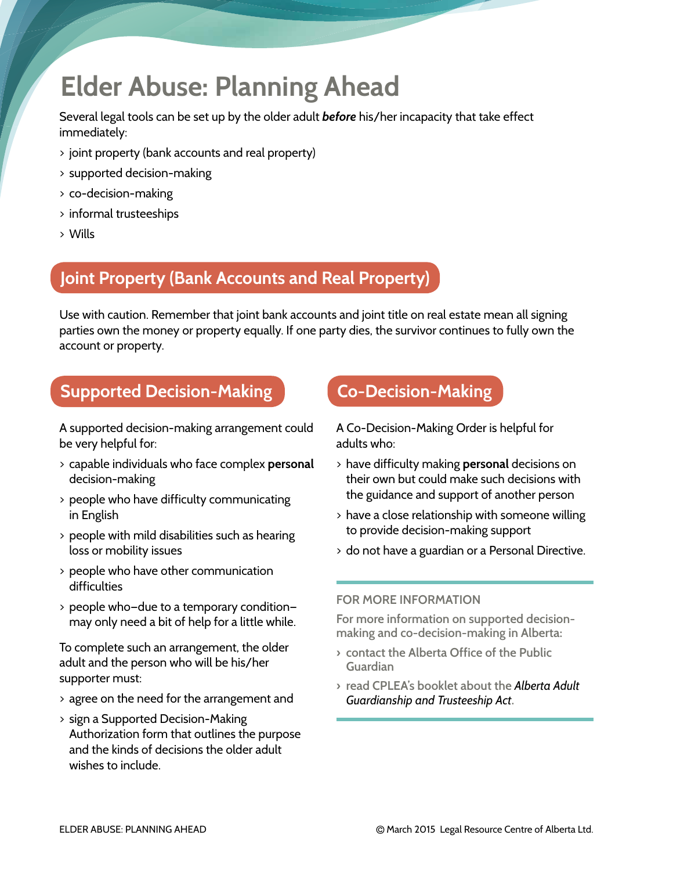# **Elder Abuse: Planning Ahead**

Several legal tools can be set up by the older adult *before* his/her incapacity that take effect immediately:

- > joint property (bank accounts and real property)
- > supported decision-making
- > co-decision-making
- > informal trusteeships
- > Wills

### **Joint Property (Bank Accounts and Real Property)**

Use with caution. Remember that joint bank accounts and joint title on real estate mean all signing parties own the money or property equally. If one party dies, the survivor continues to fully own the account or property.

### **Supported Decision-Making**

A supported decision-making arrangement could be very helpful for:

- > capable individuals who face complex **personal** decision-making
- > people who have difficulty communicating in English
- > people with mild disabilities such as hearing loss or mobility issues
- > people who have other communication difficulties
- > people who—due to a temporary condition may only need a bit of help for a little while.

To complete such an arrangement, the older adult and the person who will be his/her supporter must:

- > agree on the need for the arrangement and
- > sign a Supported Decision-Making Authorization form that outlines the purpose and the kinds of decisions the older adult wishes to include.

### **Co-Decision-Making**

A Co-Decision-Making Order is helpful for adults who:

- > have difficulty making **personal** decisions on their own but could make such decisions with the guidance and support of another person
- > have a close relationship with someone willing to provide decision-making support
- > do not have a guardian or a Personal Directive.

#### **FOR MORE INFORMATION**

**For more information on supported decisionmaking and co-decision-making in Alberta:** 

- **› contact the Alberta Office of the Public Guardian**
- **› read CPLEA's booklet about the** *Alberta Adult Guardianship and Trusteeship Act***.**